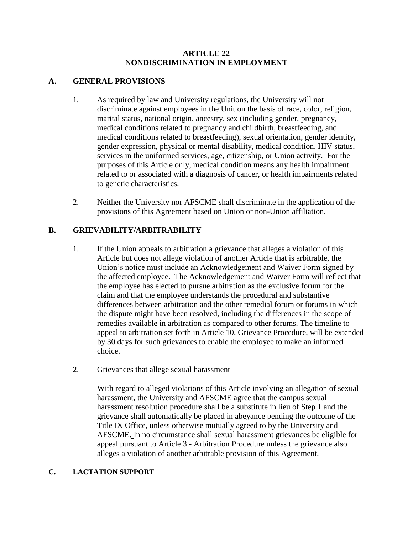### **ARTICLE 22 NONDISCRIMINATION IN EMPLOYMENT**

## **A. GENERAL PROVISIONS**

- 1. As required by law and University regulations, the University will not discriminate against employees in the Unit on the basis of race, color, religion, marital status, national origin, ancestry, sex (including gender, pregnancy, medical conditions related to pregnancy and childbirth, breastfeeding, and medical conditions related to breastfeeding), sexual orientation, gender identity, gender expression, physical or mental disability, medical condition, HIV status, services in the uniformed services, age, citizenship, or Union activity. For the purposes of this Article only, medical condition means any health impairment related to or associated with a diagnosis of cancer, or health impairments related to genetic characteristics.
- 2. Neither the University nor AFSCME shall discriminate in the application of the provisions of this Agreement based on Union or non-Union affiliation.

# **B. GRIEVABILITY/ARBITRABILITY**

- 1. If the Union appeals to arbitration a grievance that alleges a violation of this Article but does not allege violation of another Article that is arbitrable, the Union's notice must include an Acknowledgement and Waiver Form signed by the affected employee. The Acknowledgement and Waiver Form will reflect that the employee has elected to pursue arbitration as the exclusive forum for the claim and that the employee understands the procedural and substantive differences between arbitration and the other remedial forum or forums in which the dispute might have been resolved, including the differences in the scope of remedies available in arbitration as compared to other forums. The timeline to appeal to arbitration set forth in Article 10, Grievance Procedure, will be extended by 30 days for such grievances to enable the employee to make an informed choice.
- 2. Grievances that allege sexual harassment

With regard to alleged violations of this Article involving an allegation of sexual harassment, the University and AFSCME agree that the campus sexual harassment resolution procedure shall be a substitute in lieu of Step 1 and the grievance shall automatically be placed in abeyance pending the outcome of the Title IX Office, unless otherwise mutually agreed to by the University and AFSCME. In no circumstance shall sexual harassment grievances be eligible for appeal pursuant to Article 3 - Arbitration Procedure unless the grievance also alleges a violation of another arbitrable provision of this Agreement.

#### **C. LACTATION SUPPORT**